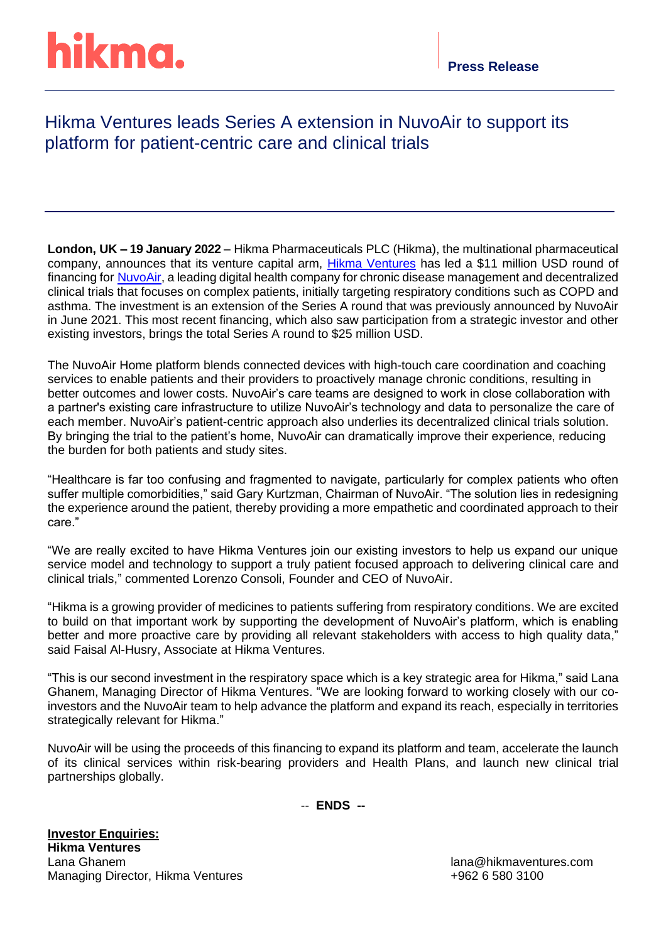# hikma.

### Hikma Ventures leads Series A extension in NuvoAir to support its platform for patient-centric care and clinical trials

**London, UK – 19 January 2022** – Hikma Pharmaceuticals PLC (Hikma), the multinational pharmaceutical company, announces that its venture capital arm, [Hikma Ventures](https://www.hikmaventures.com/home/) has led a \$11 million USD round of financing for [NuvoAir,](https://www.nuvoair.com/) a leading digital health company for chronic disease management and decentralized clinical trials that focuses on complex patients, initially targeting respiratory conditions such as COPD and asthma. The investment is an extension of the Series A round that was previously announced by NuvoAir in June 2021. This most recent financing, which also saw participation from a strategic investor and other existing investors, brings the total Series A round to \$25 million USD.

The NuvoAir Home platform blends connected devices with high-touch care coordination and coaching services to enable patients and their providers to proactively manage chronic conditions, resulting in better outcomes and lower costs. NuvoAir's care teams are designed to work in close collaboration with a partner's existing care infrastructure to utilize NuvoAir's technology and data to personalize the care of each member. NuvoAir's patient-centric approach also underlies its decentralized clinical trials solution. By bringing the trial to the patient's home, NuvoAir can dramatically improve their experience, reducing the burden for both patients and study sites.

"Healthcare is far too confusing and fragmented to navigate, particularly for complex patients who often suffer multiple comorbidities," said Gary Kurtzman, Chairman of NuvoAir. "The solution lies in redesigning the experience around the patient, thereby providing a more empathetic and coordinated approach to their care."

"We are really excited to have Hikma Ventures join our existing investors to help us expand our unique service model and technology to support a truly patient focused approach to delivering clinical care and clinical trials," commented Lorenzo Consoli, Founder and CEO of NuvoAir.

"Hikma is a growing provider of medicines to patients suffering from respiratory conditions. We are excited to build on that important work by supporting the development of NuvoAir's platform, which is enabling better and more proactive care by providing all relevant stakeholders with access to high quality data," said Faisal Al-Husry, Associate at Hikma Ventures.

"This is our second investment in the respiratory space which is a key strategic area for Hikma," said Lana Ghanem, Managing Director of Hikma Ventures. "We are looking forward to working closely with our coinvestors and the NuvoAir team to help advance the platform and expand its reach, especially in territories strategically relevant for Hikma."

NuvoAir will be using the proceeds of this financing to expand its platform and team, accelerate the launch of its clinical services within risk-bearing providers and Health Plans, and launch new clinical trial partnerships globally.

-- **ENDS --**

**Investor Enquiries: Hikma Ventures** Lana Ghanem lana@hikmaventures.com Managing Director, Hikma Ventures +962 6 580 3100